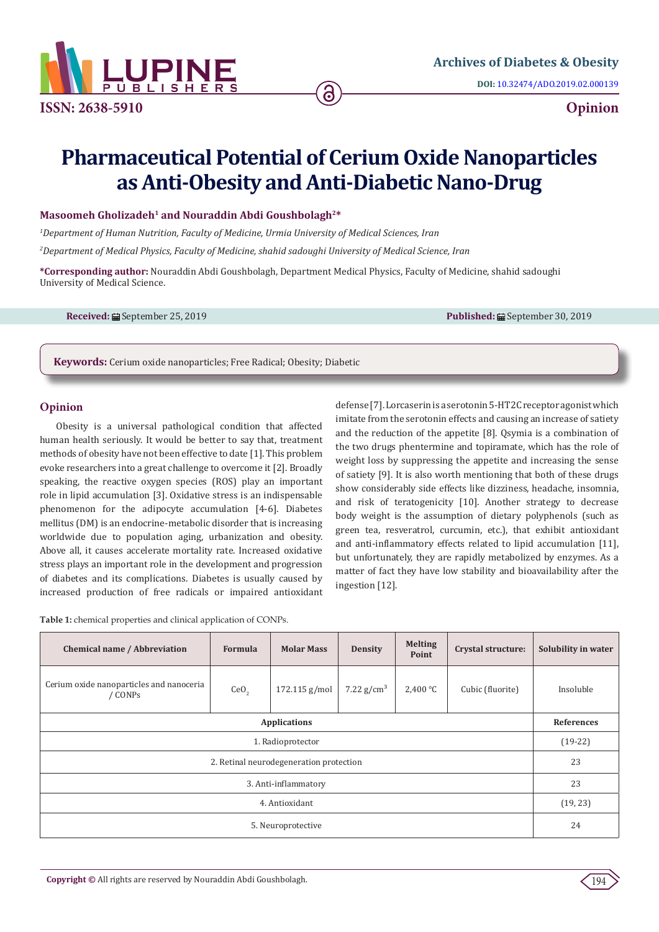

**ISSN: 2638-5910 Opinion**

# **Pharmaceutical Potential of Cerium Oxide Nanoparticles as Anti-Obesity and Anti-Diabetic Nano-Drug**

6

## Masoomeh Gholizadeh<sup>1</sup> and Nouraddin Abdi Goushbolagh<sup>2\*</sup>

*1 Department of Human Nutrition, Faculty of Medicine, Urmia University of Medical Sciences, Iran 2 Department of Medical Physics, Faculty of Medicine, shahid sadoughi University of Medical Science, Iran*

**\*Corresponding author:** Nouraddin Abdi Goushbolagh, Department Medical Physics, Faculty of Medicine, shahid sadoughi University of Medical Science.

**Received:** ■ September 25, 2019 **Published:** ■ September 30, 2019

**Keywords:** Cerium oxide nanoparticles; Free Radical; Obesity; Diabetic

## **Opinion**

Obesity is a universal pathological condition that affected human health seriously. It would be better to say that, treatment methods of obesity have not been effective to date [1]. This problem evoke researchers into a great challenge to overcome it [2]. Broadly speaking, the reactive oxygen species (ROS) play an important role in lipid accumulation [3]. Oxidative stress is an indispensable phenomenon for the adipocyte accumulation [4-6]. Diabetes mellitus (DM) is an endocrine-metabolic disorder that is increasing worldwide due to population aging, urbanization and obesity. Above all, it causes accelerate mortality rate. Increased oxidative stress plays an important role in the development and progression of diabetes and its complications. Diabetes is usually caused by increased production of free radicals or impaired antioxidant defense [7]. Lorcaserin is a serotonin 5-HT2C receptor agonist which imitate from the serotonin effects and causing an increase of satiety and the reduction of the appetite [8]. Qsymia is a combination of the two drugs phentermine and topiramate, which has the role of weight loss by suppressing the appetite and increasing the sense of satiety [9]. It is also worth mentioning that both of these drugs show considerably side effects like dizziness, headache, insomnia, and risk of teratogenicity [10]. Another strategy to decrease body weight is the assumption of dietary polyphenols (such as green tea, resveratrol, curcumin, etc.), that exhibit antioxidant and anti-inflammatory effects related to lipid accumulation [11], but unfortunately, they are rapidly metabolized by enzymes. As a matter of fact they have low stability and bioavailability after the ingestion [12].

**Table 1:** chemical properties and clinical application of CONPs.

| Chemical name / Abbreviation                        | Formula          | <b>Molar Mass</b> | <b>Density</b> | <b>Melting</b><br>Point | Crystal structure: | Solubility in water |
|-----------------------------------------------------|------------------|-------------------|----------------|-------------------------|--------------------|---------------------|
| Cerium oxide nanoparticles and nanoceria<br>/ CONPs | CeO <sub>2</sub> | 172.115 g/mol     | 7.22 $g/cm^3$  | 2,400 °C                | Cubic (fluorite)   | Insoluble           |
| <b>Applications</b>                                 |                  |                   |                |                         |                    | References          |
| 1. Radioprotector                                   |                  |                   |                |                         |                    | $(19-22)$           |
| 2. Retinal neurodegeneration protection             |                  |                   |                |                         |                    | 23                  |
| 3. Anti-inflammatory                                |                  |                   |                |                         |                    | 23                  |
| 4. Antioxidant                                      |                  |                   |                |                         |                    | (19, 23)            |
| 5. Neuroprotective                                  |                  |                   |                |                         |                    | 24                  |

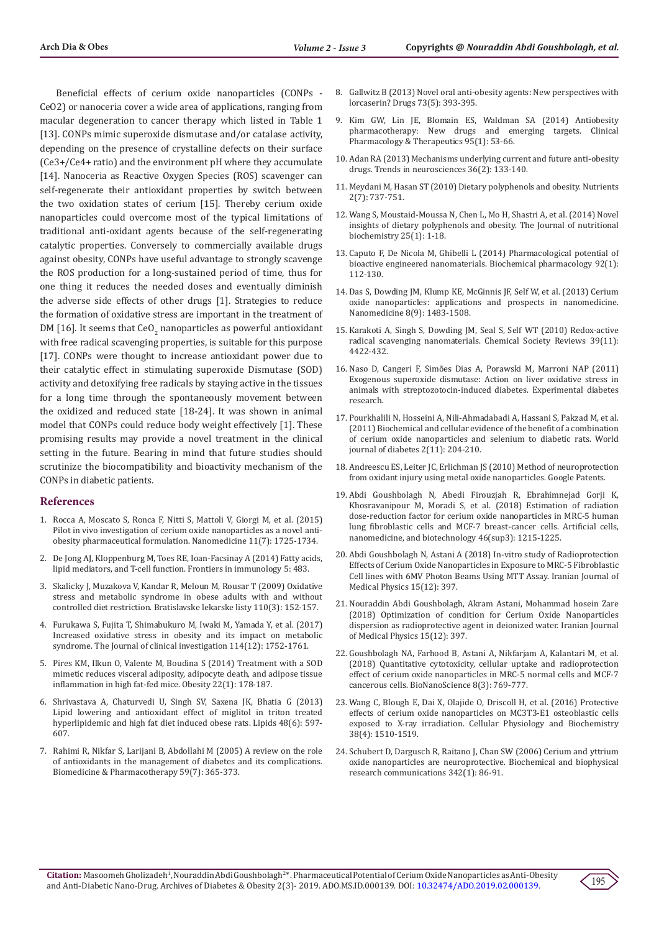Beneficial effects of cerium oxide nanoparticles (CONPs - CeO2) or nanoceria cover a wide area of applications, ranging from macular degeneration to cancer therapy which listed in Table 1 [13]. CONPs mimic superoxide dismutase and/or catalase activity, depending on the presence of crystalline defects on their surface (Ce3+/Ce4+ ratio) and the environment pH where they accumulate [14]. Nanoceria as Reactive Oxygen Species (ROS) scavenger can self-regenerate their antioxidant properties by switch between the two oxidation states of cerium [15]. Thereby cerium oxide nanoparticles could overcome most of the typical limitations of traditional anti-oxidant agents because of the self-regenerating catalytic properties. Conversely to commercially available drugs against obesity, CONPs have useful advantage to strongly scavenge the ROS production for a long-sustained period of time, thus for one thing it reduces the needed doses and eventually diminish the adverse side effects of other drugs [1]. Strategies to reduce the formation of oxidative stress are important in the treatment of DM [16]. It seems that  $\text{CeO}_2$  nanoparticles as powerful antioxidant with free radical scavenging properties, is suitable for this purpose [17]. CONPs were thought to increase antioxidant power due to their catalytic effect in stimulating superoxide Dismutase (SOD) activity and detoxifying free radicals by staying active in the tissues for a long time through the spontaneously movement between the oxidized and reduced state [18-24]. It was shown in animal model that CONPs could reduce body weight effectively [1]. These promising results may provide a novel treatment in the clinical setting in the future. Bearing in mind that future studies should scrutinize the biocompatibility and bioactivity mechanism of the CONPs in diabetic patients.

#### **References**

- 1. [Rocca A, Moscato S, Ronca F, Nitti S, Mattoli V, Giorgi M, et al. \(2015\)](https://www.ncbi.nlm.nih.gov/pubmed/26003299)  [Pilot in vivo investigation of cerium oxide nanoparticles as a novel anti](https://www.ncbi.nlm.nih.gov/pubmed/26003299)[obesity pharmaceutical formulation. Nanomedicine 11\(7\): 1725-1734.](https://www.ncbi.nlm.nih.gov/pubmed/26003299)
- 2. [De Jong AJ, Kloppenburg M, Toes RE, Ioan-Facsinay A \(2014\) Fatty acids,](https://www.ncbi.nlm.nih.gov/pubmed/25352844)  [lipid mediators, and T-cell function. Frontiers in immunology 5: 483.](https://www.ncbi.nlm.nih.gov/pubmed/25352844)
- 3. [Skalicky J, Muzakova V, Kandar R, Meloun M, Rousar T \(2009\) Oxidative](https://www.ncbi.nlm.nih.gov/pubmed/19507634)  [stress and metabolic syndrome in obese adults with and without](https://www.ncbi.nlm.nih.gov/pubmed/19507634)  [controlled diet restriction. Bratislavske lekarske listy 110\(3\): 152-157.](https://www.ncbi.nlm.nih.gov/pubmed/19507634)
- 4. [Furukawa S, Fujita T, Shimabukuro M, Iwaki M, Yamada Y, et al. \(2017\)](https://www.ncbi.nlm.nih.gov/pubmed/15599400)  [Increased oxidative stress in obesity and its impact on metabolic](https://www.ncbi.nlm.nih.gov/pubmed/15599400)  [syndrome. The Journal of clinical investigation 114\(12\): 1752-1761.](https://www.ncbi.nlm.nih.gov/pubmed/15599400)
- 5. [Pires KM, Ilkun O, Valente M, Boudina S \(2014\) Treatment with a SOD](https://www.ncbi.nlm.nih.gov/pubmed/23526686)  [mimetic reduces visceral adiposity, adipocyte death, and adipose tissue](https://www.ncbi.nlm.nih.gov/pubmed/23526686)  [inflammation in high fat‐fed mice. Obesity 22\(1\): 178-187.](https://www.ncbi.nlm.nih.gov/pubmed/23526686)
- 6. [Shrivastava A, Chaturvedi U, Singh SV, Saxena JK, Bhatia G \(2013\)](https://www.ncbi.nlm.nih.gov/pubmed/23334955)  [Lipid lowering and antioxidant effect of miglitol in triton treated](https://www.ncbi.nlm.nih.gov/pubmed/23334955)  [hyperlipidemic and high fat diet induced obese rats. Lipids 48\(6\): 597-](https://www.ncbi.nlm.nih.gov/pubmed/23334955) [607](https://www.ncbi.nlm.nih.gov/pubmed/23334955).
- 7. [Rahimi R, Nikfar S, Larijani B, Abdollahi M \(2005\) A review on the role](https://www.ncbi.nlm.nih.gov/pubmed/16081237)  [of antioxidants in the management of diabetes and its complications.](https://www.ncbi.nlm.nih.gov/pubmed/16081237)  [Biomedicine & Pharmacotherapy 59\(7\): 365-373.](https://www.ncbi.nlm.nih.gov/pubmed/16081237)
- 8. [Gallwitz B \(2013\) Novel oral anti-obesity agents: New perspectives with](https://www.ncbi.nlm.nih.gov/pubmed/23532530) [lorcaserin? Drugs 73\(5\): 393-395.](https://www.ncbi.nlm.nih.gov/pubmed/23532530)
- 9. [Kim GW, Lin JE, Blomain ES, Waldman SA \(2014\) Antiobesity](https://www.ncbi.nlm.nih.gov/pubmed/24105257) [pharmacotherapy: New drugs and emerging targets. Clinical](https://www.ncbi.nlm.nih.gov/pubmed/24105257) [Pharmacology & Therapeutics 95\(1\): 53-66.](https://www.ncbi.nlm.nih.gov/pubmed/24105257)
- 10. [Adan RA \(2013\) Mechanisms underlying current and future anti-obesity](https://www.ncbi.nlm.nih.gov/pubmed/23312373) [drugs. Trends in neurosciences 36\(2\): 133-140.](https://www.ncbi.nlm.nih.gov/pubmed/23312373)
- 11. [Meydani M, Hasan ST \(2010\) Dietary polyphenols and obesity. Nutrients](https://www.ncbi.nlm.nih.gov/pubmed/22254051) [2\(7\): 737-751.](https://www.ncbi.nlm.nih.gov/pubmed/22254051)
- 12. [Wang S, Moustaid-Moussa N, Chen L, Mo H, Shastri A, et al. \(2014\) Novel](https://www.ncbi.nlm.nih.gov/pubmed/24314860) [insights of dietary polyphenols and obesity. The Journal of nutritional](https://www.ncbi.nlm.nih.gov/pubmed/24314860) [biochemistry 25\(1\): 1-18.](https://www.ncbi.nlm.nih.gov/pubmed/24314860)
- 13. [Caputo F, De Nicola M, Ghibelli L \(2014\) Pharmacological potential of](https://www.ncbi.nlm.nih.gov/pubmed/25175739) [bioactive engineered nanomaterials. Biochemical pharmacology 92\(1\):](https://www.ncbi.nlm.nih.gov/pubmed/25175739) [112-130.](https://www.ncbi.nlm.nih.gov/pubmed/25175739)
- 14. [Das S, Dowding JM, Klump KE, McGinnis JF, Self W, et al. \(2013\) Cerium](https://www.ncbi.nlm.nih.gov/pubmed/23987111) [oxide nanoparticles: applications and prospects in nanomedicine.](https://www.ncbi.nlm.nih.gov/pubmed/23987111) [Nanomedicine 8\(9\): 1483-1508.](https://www.ncbi.nlm.nih.gov/pubmed/23987111)
- 15. [Karakoti A, Singh S, Dowding JM, Seal S, Self WT \(2010\) Redox-active](https://www.ncbi.nlm.nih.gov/pubmed/20717560) [radical scavenging nanomaterials. Chemical Society Reviews 39\(11\):](https://www.ncbi.nlm.nih.gov/pubmed/20717560) [4422-432.](https://www.ncbi.nlm.nih.gov/pubmed/20717560)
- 16. [Naso D, Cangeri F, Simões Dias A, Porawski M, Marroni NAP \(2011\)](https://www.ncbi.nlm.nih.gov/pubmed/21437212) [Exogenous superoxide dismutase: Action on liver oxidative stress in](https://www.ncbi.nlm.nih.gov/pubmed/21437212) [animals with streptozotocin-induced diabetes. Experimental diabetes](https://www.ncbi.nlm.nih.gov/pubmed/21437212) [research.](https://www.ncbi.nlm.nih.gov/pubmed/21437212)
- 17. [Pourkhalili N, Hosseini A, Nili-Ahmadabadi A, Hassani S, Pakzad M, et al.](https://www.ncbi.nlm.nih.gov/pubmed/22087357) [\(2011\) Biochemical and cellular evidence of the benefit of a combination](https://www.ncbi.nlm.nih.gov/pubmed/22087357) [of cerium oxide nanoparticles and selenium to diabetic rats. World](https://www.ncbi.nlm.nih.gov/pubmed/22087357) [journal of diabetes 2\(11\): 204-210.](https://www.ncbi.nlm.nih.gov/pubmed/22087357)
- 18. Andreescu ES, Leiter JC, Erlichman JS (2010) Method of neuroprotection from oxidant injury using metal oxide nanoparticles. Google Patents.
- 19. [Abdi Goushbolagh N, Abedi Firouzjah R, Ebrahimnejad Gorji K,](https://www.ncbi.nlm.nih.gov/pubmed/30481078) [Khosravanipour M, Moradi S, et al. \(2018\) Estimation of radiation](https://www.ncbi.nlm.nih.gov/pubmed/30481078) [dose-reduction factor for cerium oxide nanoparticles in MRC-5 human](https://www.ncbi.nlm.nih.gov/pubmed/30481078) [lung fibroblastic cells and MCF-7 breast-cancer cells. Artificial cells,](https://www.ncbi.nlm.nih.gov/pubmed/30481078) [nanomedicine, and biotechnology 46\(sup3\): 1215-1225.](https://www.ncbi.nlm.nih.gov/pubmed/30481078)
- 20. [Abdi Goushbolagh N, Astani A \(2018\) In-vitro study of Radioprotection](http://ijmp.mums.ac.ir/article_13059.html) [Effects of Cerium Oxide Nanoparticles in Exposure to MRC-5 Fibroblastic](http://ijmp.mums.ac.ir/article_13059.html) [Cell lines with 6MV Photon Beams Using MTT Assay. Iranian Journal of](http://ijmp.mums.ac.ir/article_13059.html) [Medical Physics 15\(12\): 397.](http://ijmp.mums.ac.ir/article_13059.html)
- 21. [Nouraddin Abdi Goushbolagh, Akram Astani, Mohammad hosein Zare](http://ijmp.mums.ac.ir/article_13060.html) [\(2018\) Optimization of condition for Cerium Oxide Nanoparticles](http://ijmp.mums.ac.ir/article_13060.html) [dispersion as radioprotective agent in deionized water. Iranian Journal](http://ijmp.mums.ac.ir/article_13060.html) [of Medical Physics 15\(12\): 397.](http://ijmp.mums.ac.ir/article_13060.html)
- 22. [Goushbolagh NA, Farhood B, Astani A, Nikfarjam A, Kalantari M, et al.](https://link.springer.com/article/10.1007/s12668-018-0538-z) [\(2018\) Quantitative cytotoxicity, cellular uptake and radioprotection](https://link.springer.com/article/10.1007/s12668-018-0538-z) [effect of cerium oxide nanoparticles in MRC-5 normal cells and MCF-7](https://link.springer.com/article/10.1007/s12668-018-0538-z) [cancerous cells. BioNanoScience 8\(3\): 769-777.](https://link.springer.com/article/10.1007/s12668-018-0538-z)
- 23. [Wang C, Blough E, Dai X, Olajide O, Driscoll H, et al. \(2016\) Protective](https://www.ncbi.nlm.nih.gov/pubmed/27050501) [effects of cerium oxide nanoparticles on MC3T3-E1 osteoblastic cells](https://www.ncbi.nlm.nih.gov/pubmed/27050501) [exposed to X-ray irradiation. Cellular Physiology and Biochemistry](https://www.ncbi.nlm.nih.gov/pubmed/27050501) [38\(4\): 1510-1519.](https://www.ncbi.nlm.nih.gov/pubmed/27050501)
- 24. [Schubert D, Dargusch R, Raitano J, Chan SW \(2006\) Cerium and yttrium](https://www.ncbi.nlm.nih.gov/pubmed/16480682) [oxide nanoparticles are neuroprotective. Biochemical and biophysical](https://www.ncbi.nlm.nih.gov/pubmed/16480682) [research communications 342\(1\): 86-91.](https://www.ncbi.nlm.nih.gov/pubmed/16480682)